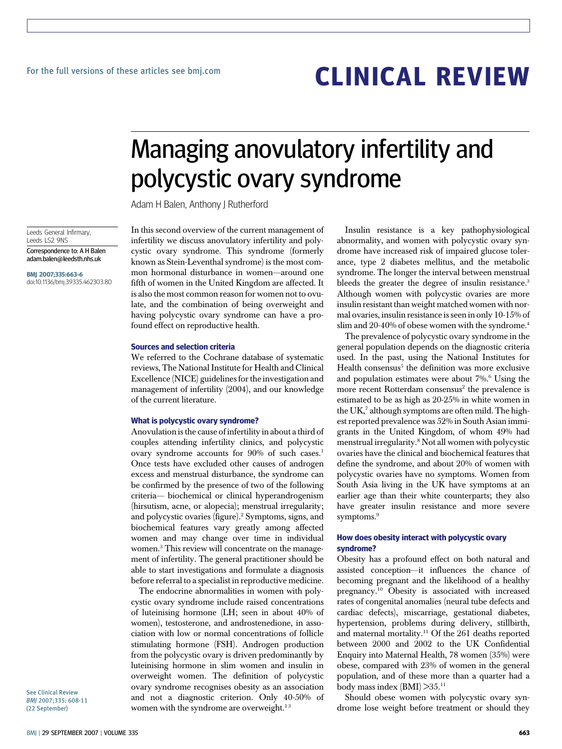# CLINICAL REVIEW

## Managing anovulatory infertility and polycystic ovary syndrome

Adam H Balen, Anthony J Rutherford

Leeds General Infirmary, Leeds LS2 9NS

Correspondence to: A H Balen adam.balen@leedsth.nhs.uk

BMJ 2007;335:663-6 doi:10.1136/bmj.39335.462303.80 In this second overview of the current management of infertility we discuss anovulatory infertility and polycystic ovary syndrome. This syndrome (formerly known as Stein-Leventhal syndrome) is the most common hormonal disturbance in women—around one fifth of women in the United Kingdom are affected. It is also the most common reason for women not to ovulate, and the combination of being overweight and having polycystic ovary syndrome can have a profound effect on reproductive health.

#### Sources and selection criteria

We referred to the Cochrane database of systematic reviews, The National Institute for Health and Clinical Excellence (NICE) guidelines for the investigation and management of infertility (2004), and our knowledge of the current literature.

#### What is polycystic ovary syndrome?

Anovulation is the cause of infertility in about a third of couples attending infertility clinics, and polycystic ovary syndrome accounts for 90% of such cases.<sup>1</sup> Once tests have excluded other causes of androgen excess and menstrual disturbance, the syndrome can be confirmed by the presence of two of the following criteria— biochemical or clinical hyperandrogenism (hirsutism, acne, or alopecia); menstrual irregularity; and polycystic ovaries (figure).2 Symptoms, signs, and biochemical features vary greatly among affected women and may change over time in individual women.3 This review will concentrate on the management of infertility. The general practitioner should be able to start investigations and formulate a diagnosis before referral to a specialist in reproductive medicine.

The endocrine abnormalities in women with polycystic ovary syndrome include raised concentrations of luteinising hormone (LH; seen in about 40% of women), testosterone, and androstenedione, in association with low or normal concentrations of follicle stimulating hormone (FSH). Androgen production from the polycystic ovary is driven predominantly by luteinising hormone in slim women and insulin in overweight women. The definition of polycystic ovary syndrome recognises obesity as an association and not a diagnostic criterion. Only 40-50% of women with the syndrome are overweight.<sup>13</sup>

Insulin resistance is a key pathophysiological abnormality, and women with polycystic ovary syndrome have increased risk of impaired glucose tolerance, type 2 diabetes mellitus, and the metabolic syndrome. The longer the interval between menstrual bleeds the greater the degree of insulin resistance.<sup>3</sup> Although women with polycystic ovaries are more insulin resistant than weight matched women with normal ovaries, insulin resistance is seen in only 10-15% of slim and 20-40% of obese women with the syndrome.<sup>4</sup>

The prevalence of polycystic ovary syndrome in the general population depends on the diagnostic criteria used. In the past, using the National Institutes for Health consensus<sup>5</sup> the definition was more exclusive and population estimates were about 7%.<sup>6</sup> Using the more recent Rotterdam consensus<sup>2</sup> the prevalence is estimated to be as high as 20-25% in white women in the  $UK<sub>1</sub><sup>7</sup>$  although symptoms are often mild. The highest reported prevalence was 52% in South Asian immigrants in the United Kingdom, of whom 49% had menstrual irregularity.<sup>8</sup> Not all women with polycystic ovaries have the clinical and biochemical features that define the syndrome, and about 20% of women with polycystic ovaries have no symptoms. Women from South Asia living in the UK have symptoms at an earlier age than their white counterparts; they also have greater insulin resistance and more severe symptoms.<sup>9</sup>

### How does obesity interact with polycystic ovary syndrome?

Obesity has a profound effect on both natural and assisted conception—it influences the chance of becoming pregnant and the likelihood of a healthy pregnancy.10 Obesity is associated with increased rates of congenital anomalies (neural tube defects and cardiac defects), miscarriage, gestational diabetes, hypertension, problems during delivery, stillbirth, and maternal mortality.<sup>11</sup> Of the 261 deaths reported between 2000 and 2002 to the UK Confidential Enquiry into Maternal Health, 78 women (35%) were obese, compared with 23% of women in the general population, and of these more than a quarter had a body mass index (BMI) >35.11

Should obese women with polycystic ovary syndrome lose weight before treatment or should they

See Clinical Review BMJ 2007;335: 608-11 (22 September)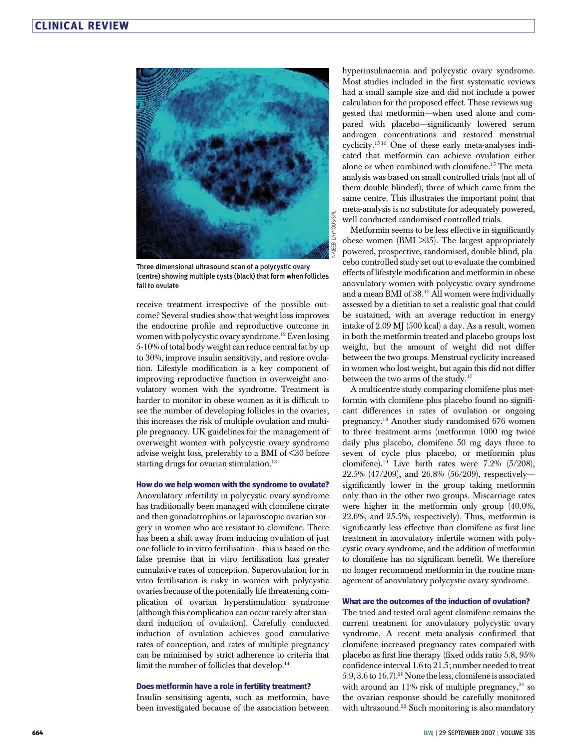

Three dimensional ultrasound scan of a polycystic ovary (centre) showing multiple cysts (black) that form when follicles fail to ovulate

receive treatment irrespective of the possible outcome? Several studies show that weight loss improves the endocrine profile and reproductive outcome in women with polycystic ovary syndrome.<sup>12</sup> Even losing 5-10% of total body weight can reduce central fat by up to 30%, improve insulin sensitivity, and restore ovulation. Lifestyle modification is a key component of improving reproductive function in overweight anovulatory women with the syndrome. Treatment is harder to monitor in obese women as it is difficult to see the number of developing follicles in the ovaries; this increases the risk of multiple ovulation and multiple pregnancy. UK guidelines for the management of overweight women with polycystic ovary syndrome advise weight loss, preferably to a BMI of <30 before starting drugs for ovarian stimulation. $13$ 

#### How do we help women with the syndrome to ovulate?

Anovulatory infertility in polycystic ovary syndrome has traditionally been managed with clomifene citrate and then gonadotrophins or laparoscopic ovarian surgery in women who are resistant to clomifene. There has been a shift away from inducing ovulation of just one follicle to in vitro fertilisation—this is based on the false premise that in vitro fertilisation has greater cumulative rates of conception. Superovulation for in vitro fertilisation is risky in women with polycystic ovaries because of the potentially life threatening complication of ovarian hyperstimulation syndrome (although this complication can occur rarely after standard induction of ovulation). Carefully conducted induction of ovulation achieves good cumulative rates of conception, and rates of multiple pregnancy can be minimised by strict adherence to criteria that limit the number of follicles that develop.<sup>14</sup>

#### Does metformin have a role in fertility treatment?

Insulin sensitising agents, such as metformin, have been investigated because of the association between hyperinsulinaemia and polycystic ovary syndrome. Most studies included in the first systematic reviews had a small sample size and did not include a power calculation for the proposed effect. These reviews suggested that metformin—when used alone and compared with placebo—significantly lowered serum androgen concentrations and restored menstrual cyclicity.15 16 One of these early meta-analyses indicated that metformin can achieve ovulation either alone or when combined with clomifene.15 The metaanalysis was based on small controlled trials (not all of them double blinded), three of which came from the same centre. This illustrates the important point that meta-analysis is no substitute for adequately powered, well conducted randomised controlled trials.

Metformin seems to be less effective in significantly obese women (BMI >35). The largest appropriately powered, prospective, randomised, double blind, placebo controlled study set out to evaluate the combined effects of lifestyle modification and metformin in obese anovulatory women with polycystic ovary syndrome and a mean BMI of 38.<sup>17</sup> All women were individually assessed by a dietitian to set a realistic goal that could be sustained, with an average reduction in energy intake of 2.09 MJ (500 kcal) a day. As a result, women in both the metformin treated and placebo groups lost weight, but the amount of weight did not differ between the two groups. Menstrual cyclicity increased in women who lost weight, but again this did not differ between the two arms of the study.<sup>17</sup>

A multicentre study comparing clomifene plus metformin with clomifene plus placebo found no significant differences in rates of ovulation or ongoing pregnancy.18 Another study randomised 676 women to three treatment arms (metformin 1000 mg twice daily plus placebo, clomifene 50 mg days three to seven of cycle plus placebo, or metformin plus clomifene).<sup>19</sup> Live birth rates were 7.2% (5/208), 22.5% (47/209), and 26.8% (56/209), respectively significantly lower in the group taking metformin only than in the other two groups. Miscarriage rates were higher in the metformin only group (40.0%, 22.6%, and 25.5%, respectively). Thus, metformin is significantly less effective than clomifene as first line treatment in anovulatory infertile women with polycystic ovary syndrome, and the addition of metformin to clomifene has no significant benefit. We therefore no longer recommend metformin in the routine management of anovulatory polycystic ovary syndrome.

#### What are the outcomes of the induction of ovulation?

The tried and tested oral agent clomifene remains the current treatment for anovulatory polycystic ovary syndrome. A recent meta-analysis confirmed that clomifene increased pregnancy rates compared with placebo as first line therapy (fixed odds ratio 5.8, 95% confidence interval 1.6 to 21.5; number needed to treat 5.9, 3.6 to 16.7).20None the less, clomifene is associated with around an 11% risk of multiple pregnancy, $21$  so the ovarian response should be carefully monitored with ultrasound.<sup>22</sup> Such monitoring is also mandatory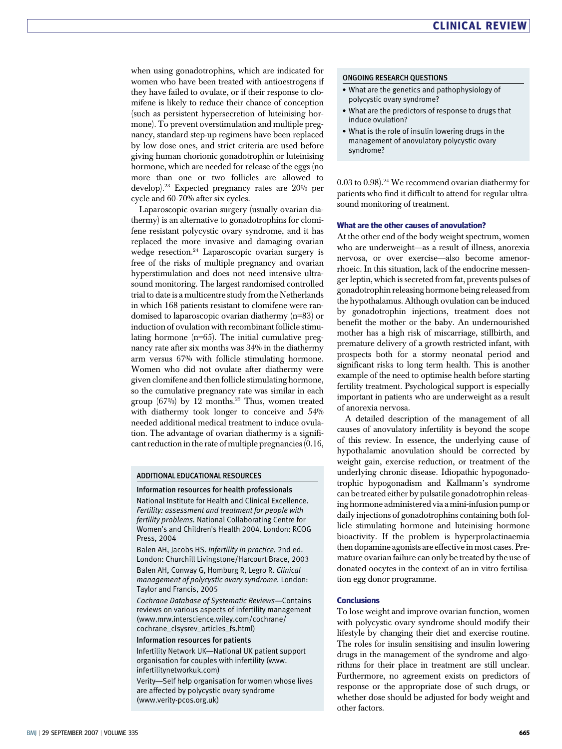when using gonadotrophins, which are indicated for women who have been treated with antioestrogens if they have failed to ovulate, or if their response to clomifene is likely to reduce their chance of conception (such as persistent hypersecretion of luteinising hormone). To prevent overstimulation and multiple pregnancy, standard step-up regimens have been replaced by low dose ones, and strict criteria are used before giving human chorionic gonadotrophin or luteinising hormone, which are needed for release of the eggs (no more than one or two follicles are allowed to develop).23 Expected pregnancy rates are 20% per cycle and 60-70% after six cycles.

Laparoscopic ovarian surgery (usually ovarian diathermy) is an alternative to gonadotrophins for clomifene resistant polycystic ovary syndrome, and it has replaced the more invasive and damaging ovarian wedge resection.24 Laparoscopic ovarian surgery is free of the risks of multiple pregnancy and ovarian hyperstimulation and does not need intensive ultrasound monitoring. The largest randomised controlled trial to date is a multicentre study from the Netherlands in which 168 patients resistant to clomifene were randomised to laparoscopic ovarian diathermy (n=83) or induction of ovulation with recombinant follicle stimulating hormone  $(n=65)$ . The initial cumulative pregnancy rate after six months was 34% in the diathermy arm versus 67% with follicle stimulating hormone. Women who did not ovulate after diathermy were given clomifene and then follicle stimulating hormone, so the cumulative pregnancy rate was similar in each group  $(67%)$  by 12 months.<sup>25</sup> Thus, women treated with diathermy took longer to conceive and 54% needed additional medical treatment to induce ovulation. The advantage of ovarian diathermy is a significant reduction in the rate of multiple pregnancies (0.16,

#### ADDITIONAL EDUCATIONAL RESOURCES

#### Information resources for health professionals

National Institute for Health and Clinical Excellence. Fertility: assessment and treatment for people with fertility problems. National Collaborating Centre for Women's and Children's Health 2004. London: RCOG Press, 2004

Balen AH, Jacobs HS. Infertility in practice. 2nd ed. London: Churchill Livingstone/Harcourt Brace, 2003

Balen AH, Conway G, Homburg R, Legro R. Clinical management of polycystic ovary syndrome. London: Taylor and Francis, 2005

Cochrane Database of Systematic Reviews—Contains reviews on various aspects of infertility management (www.mrw.interscience.wiley.com/cochrane/ cochrane\_clsysrev\_articles\_fs.html)

#### Information resources for patients

Infertility Network UK—National UK patient support organisation for couples with infertility (www. infertilitynetworkuk.com)

Verity—Self help organisation for women whose lives are affected by polycystic ovary syndrome (www.verity-pcos.org.uk)

#### ONGOING RESEARCH QUESTIONS

- What are the genetics and pathophysiology of polycystic ovary syndrome?
- What are the predictors of response to drugs that induce ovulation?
- What is the role of insulin lowering drugs in the management of anovulatory polycystic ovary syndrome?

0.03 to 0.98).24 We recommend ovarian diathermy for patients who find it difficult to attend for regular ultrasound monitoring of treatment.

#### What are the other causes of anovulation?

At the other end of the body weight spectrum, women who are underweight—as a result of illness, anorexia nervosa, or over exercise—also become amenorrhoeic. In this situation, lack of the endocrine messenger leptin, which is secreted from fat, prevents pulses of gonadotrophin releasing hormone being released from the hypothalamus. Although ovulation can be induced by gonadotrophin injections, treatment does not benefit the mother or the baby. An undernourished mother has a high risk of miscarriage, stillbirth, and premature delivery of a growth restricted infant, with prospects both for a stormy neonatal period and significant risks to long term health. This is another example of the need to optimise health before starting fertility treatment. Psychological support is especially important in patients who are underweight as a result of anorexia nervosa.

A detailed description of the management of all causes of anovulatory infertility is beyond the scope of this review. In essence, the underlying cause of hypothalamic anovulation should be corrected by weight gain, exercise reduction, or treatment of the underlying chronic disease. Idiopathic hypogonadotrophic hypogonadism and Kallmann's syndrome can be treated either by pulsatile gonadotrophin releasing hormone administered via a mini-infusion pump or daily injections of gonadotrophins containing both follicle stimulating hormone and luteinising hormone bioactivity. If the problem is hyperprolactinaemia then dopamine agonists are effective in most cases. Premature ovarian failure can only be treated by the use of donated oocytes in the context of an in vitro fertilisation egg donor programme.

#### Conclusions

To lose weight and improve ovarian function, women with polycystic ovary syndrome should modify their lifestyle by changing their diet and exercise routine. The roles for insulin sensitising and insulin lowering drugs in the management of the syndrome and algorithms for their place in treatment are still unclear. Furthermore, no agreement exists on predictors of response or the appropriate dose of such drugs, or whether dose should be adjusted for body weight and other factors.